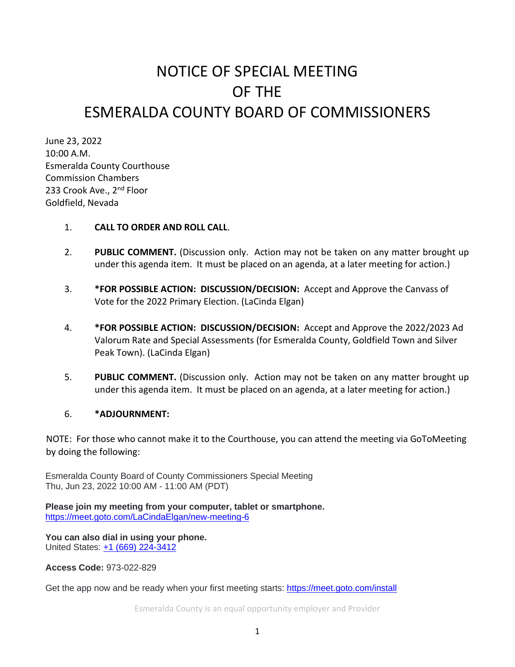## NOTICE OF SPECIAL MEETING OF THE ESMERALDA COUNTY BOARD OF COMMISSIONERS

June 23, 2022 10:00 A.M. Esmeralda County Courthouse Commission Chambers 233 Crook Ave., 2<sup>nd</sup> Floor Goldfield, Nevada

## 1. **CALL TO ORDER AND ROLL CALL**.

- 2. **PUBLIC COMMENT.** (Discussion only. Action may not be taken on any matter brought up under this agenda item. It must be placed on an agenda, at a later meeting for action.)
- 3. **\*FOR POSSIBLE ACTION: DISCUSSION/DECISION:** Accept and Approve the Canvass of Vote for the 2022 Primary Election. (LaCinda Elgan)
- 4. **\*FOR POSSIBLE ACTION: DISCUSSION/DECISION:** Accept and Approve the 2022/2023 Ad Valorum Rate and Special Assessments (for Esmeralda County, Goldfield Town and Silver Peak Town). (LaCinda Elgan)
- 5. **PUBLIC COMMENT.** (Discussion only. Action may not be taken on any matter brought up under this agenda item. It must be placed on an agenda, at a later meeting for action.)

## 6. **\*ADJOURNMENT:**

NOTE: For those who cannot make it to the Courthouse, you can attend the meeting via GoToMeeting by doing the following:

Esmeralda County Board of County Commissioners Special Meeting Thu, Jun 23, 2022 10:00 AM - 11:00 AM (PDT)

**Please join my meeting from your computer, tablet or smartphone.** <https://meet.goto.com/LaCindaElgan/new-meeting-6>

**You can also dial in using your phone.** United States: [+1 \(669\) 224-3412](tel:+16692243412,,973022829)

**Access Code:** 973-022-829

Get the app now and be ready when your first meeting starts: [https://meet.goto.com/install](https://meet.goto.com/install?_ga=2.90560282.1478418892.1655402945-210645496.1639680916)

Esmeralda County is an equal opportunity employer and Provider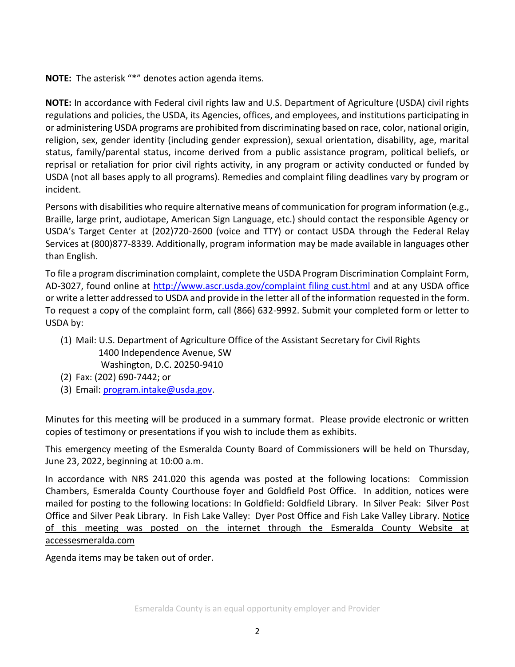**NOTE:** The asterisk "\*" denotes action agenda items.

**NOTE:** In accordance with Federal civil rights law and U.S. Department of Agriculture (USDA) civil rights regulations and policies, the USDA, its Agencies, offices, and employees, and institutions participating in or administering USDA programs are prohibited from discriminating based on race, color, national origin, religion, sex, gender identity (including gender expression), sexual orientation, disability, age, marital status, family/parental status, income derived from a public assistance program, political beliefs, or reprisal or retaliation for prior civil rights activity, in any program or activity conducted or funded by USDA (not all bases apply to all programs). Remedies and complaint filing deadlines vary by program or incident.

Persons with disabilities who require alternative means of communication for program information (e.g., Braille, large print, audiotape, American Sign Language, etc.) should contact the responsible Agency or USDA's Target Center at (202)720-2600 (voice and TTY) or contact USDA through the Federal Relay Services at (800)877-8339. Additionally, program information may be made available in languages other than English.

To file a program discrimination complaint, complete the USDA Program Discrimination Complaint Form, AD-3027, found online at [http://www.ascr.usda.gov/complaint filing cust.html](http://www.ascr.usda.gov/complaint%20filing%20cust.html) and at any USDA office or write a letter addressed to USDA and provide in the letter all of the information requested in the form. To request a copy of the complaint form, call (866) 632-9992. Submit your completed form or letter to USDA by:

- (1) Mail: U.S. Department of Agriculture Office of the Assistant Secretary for Civil Rights 1400 Independence Avenue, SW Washington, D.C. 20250-9410
- (2) Fax: (202) 690-7442; or
- (3) Email: [program.intake@usda.gov.](mailto:program.intake@usda.gov)

Minutes for this meeting will be produced in a summary format. Please provide electronic or written copies of testimony or presentations if you wish to include them as exhibits.

This emergency meeting of the Esmeralda County Board of Commissioners will be held on Thursday, June 23, 2022, beginning at 10:00 a.m.

In accordance with NRS 241.020 this agenda was posted at the following locations: Commission Chambers, Esmeralda County Courthouse foyer and Goldfield Post Office. In addition, notices were mailed for posting to the following locations: In Goldfield: Goldfield Library. In Silver Peak: Silver Post Office and Silver Peak Library. In Fish Lake Valley: Dyer Post Office and Fish Lake Valley Library. Notice of this meeting was posted on the internet through the Esmeralda County Website at accessesmeralda.com

Agenda items may be taken out of order.